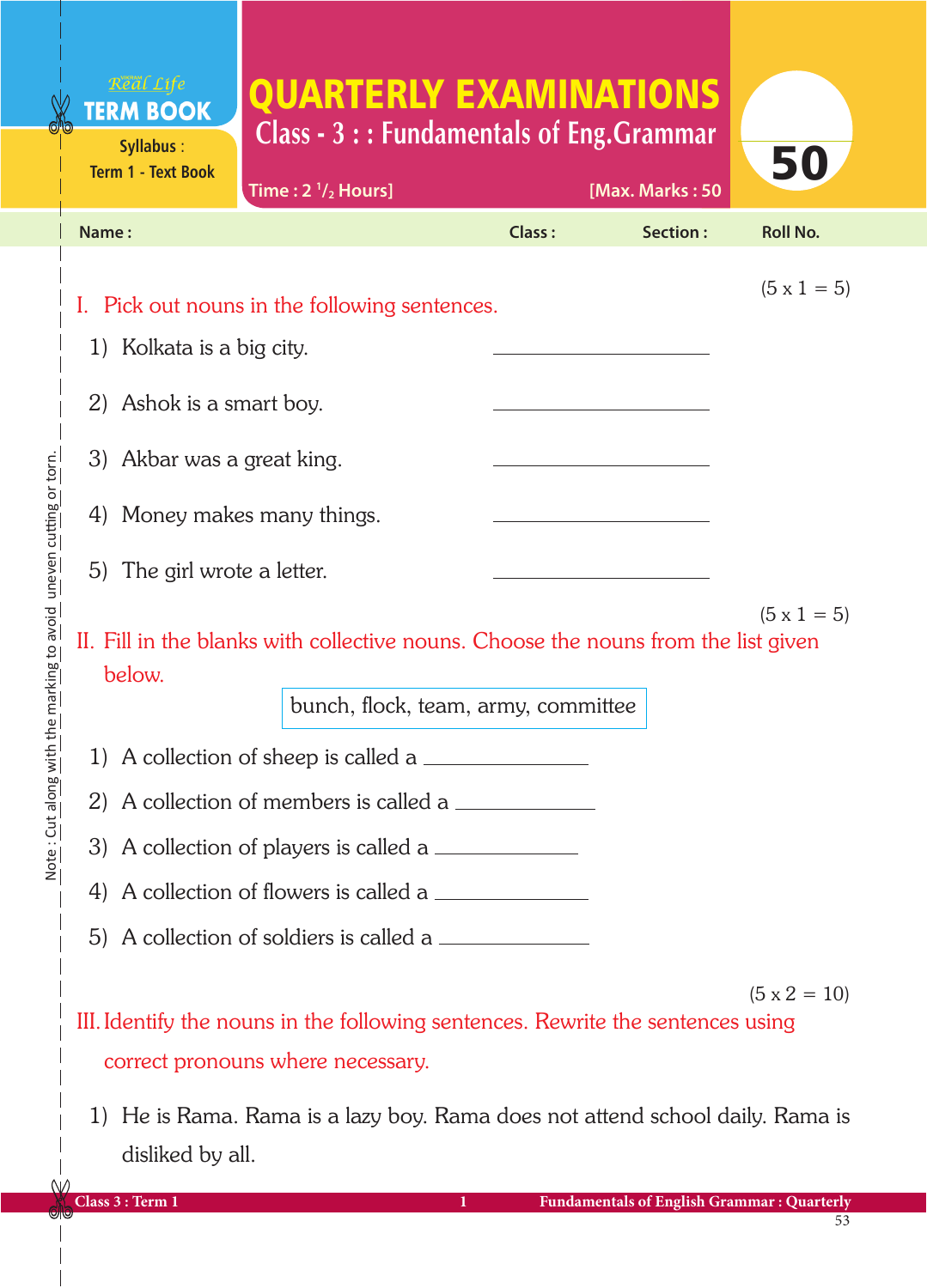# QUARTERLY EXAMINATIONS **Class - 3 : : Fundamentals of Eng.Grammar**

| Syllabus :<br><b>Term 1 - Text Book</b>                                                                              |                                               |        |                 | 50                  |  |  |
|----------------------------------------------------------------------------------------------------------------------|-----------------------------------------------|--------|-----------------|---------------------|--|--|
|                                                                                                                      | Time: $2 \frac{1}{2}$ Hours]                  |        | [Max. Marks: 50 |                     |  |  |
| Name:                                                                                                                |                                               | Class: | Section:        | <b>Roll No.</b>     |  |  |
| 1) Kolkata is a big city.                                                                                            | I. Pick out nouns in the following sentences. |        |                 | $(5 \times 1 = 5)$  |  |  |
|                                                                                                                      |                                               |        |                 |                     |  |  |
| 3) Akbar was a great king.                                                                                           |                                               |        |                 |                     |  |  |
| 4) Money makes many things.                                                                                          |                                               |        |                 |                     |  |  |
| 5) The girl wrote a letter.<br><u> 1989 - Johann Barbara, martxa a</u>                                               |                                               |        |                 |                     |  |  |
| $(5 \times 1 = 5)$<br>II. Fill in the blanks with collective nouns. Choose the nouns from the list given<br>below.   |                                               |        |                 |                     |  |  |
|                                                                                                                      | bunch, flock, team, army, committee           |        |                 |                     |  |  |
| 1) A collection of sheep is called a                                                                                 |                                               |        |                 |                     |  |  |
| 2) A collection of members is called a                                                                               |                                               |        |                 |                     |  |  |
| 3) A collection of players is called a $\equiv$                                                                      |                                               |        |                 |                     |  |  |
| 4) A collection of flowers is called a                                                                               |                                               |        |                 |                     |  |  |
| 5) A collection of soldiers is called a                                                                              |                                               |        |                 |                     |  |  |
|                                                                                                                      |                                               |        |                 | $(5 \times 2 = 10)$ |  |  |
| III. Identify the nouns in the following sentences. Rewrite the sentences using<br>correct pronouns where necessary. |                                               |        |                 |                     |  |  |
| 2) Ashok is a smart boy.                                                                                             |                                               |        |                 |                     |  |  |

1) He is Rama. Rama is a lazy boy. Rama does not attend school daily. Rama is disliked by all.

Note : Cut along with the marking to avoid uneven cutting or torn.

Note: Cut along with the marking to avoid uneven cutting or torn.

**Syllabus** :

Real Life **TERM BOOK**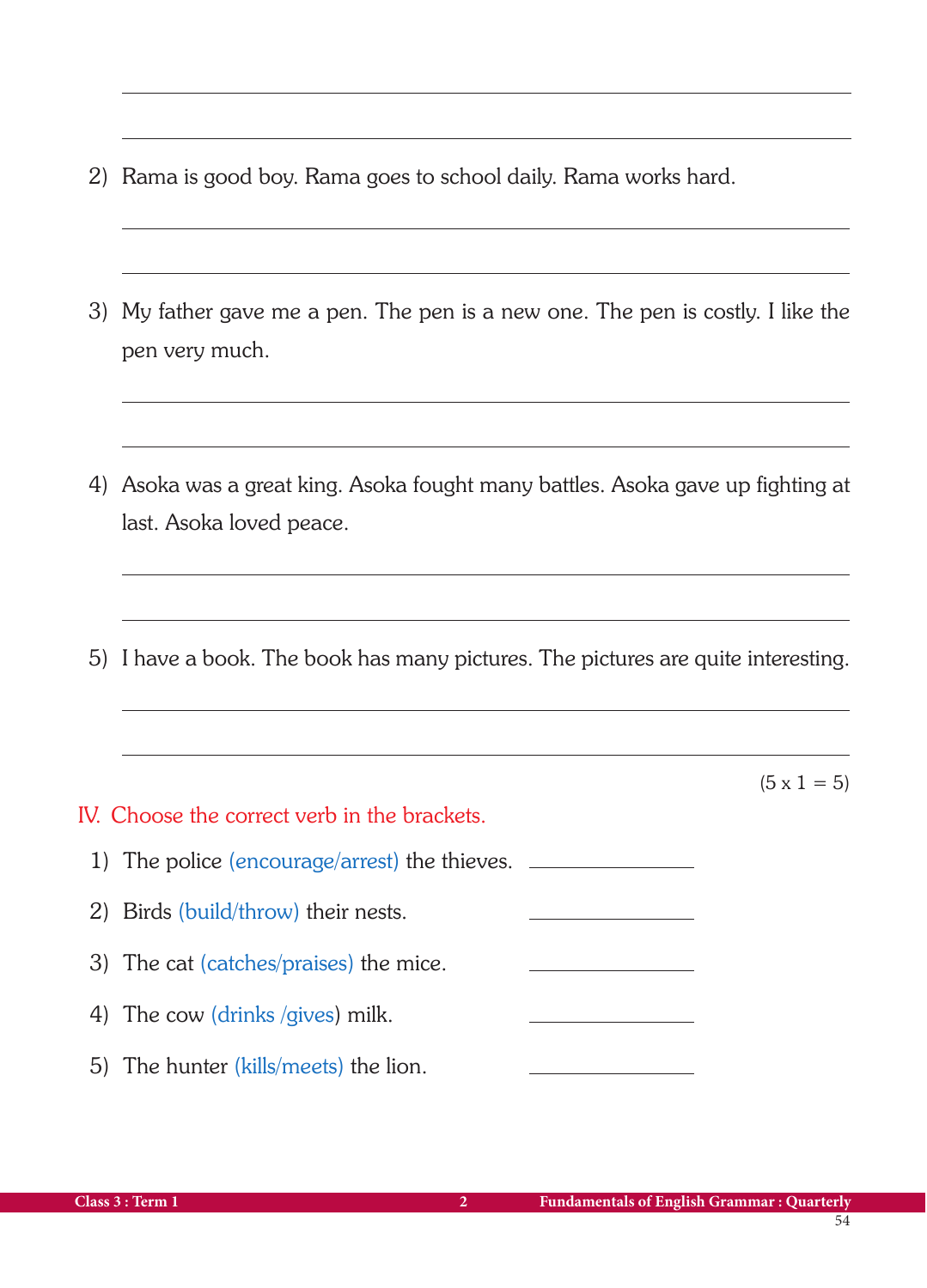- 2) Rama is good boy. Rama goes to school daily. Rama works hard.
- 3) My father gave me a pen. The pen is a new one. The pen is costly. I like the pen very much.
- 4) Asoka was a great king. Asoka fought many battles. Asoka gave up fighting at last. Asoka loved peace.
- 5) I have a book. The book has many pictures. The pictures are quite interesting.

|                                               | $(5 \times 1 = 5)$ |
|-----------------------------------------------|--------------------|
| IV. Choose the correct verb in the brackets.  |                    |
| 1) The police (encourage/arrest) the thieves. |                    |
| 2) Birds (build/throw) their nests.           |                    |
| 3) The cat (catches/praises) the mice.        |                    |
| 4) The cow (drinks /gives) milk.              |                    |
| 5) The hunter (kills/meets) the lion.         |                    |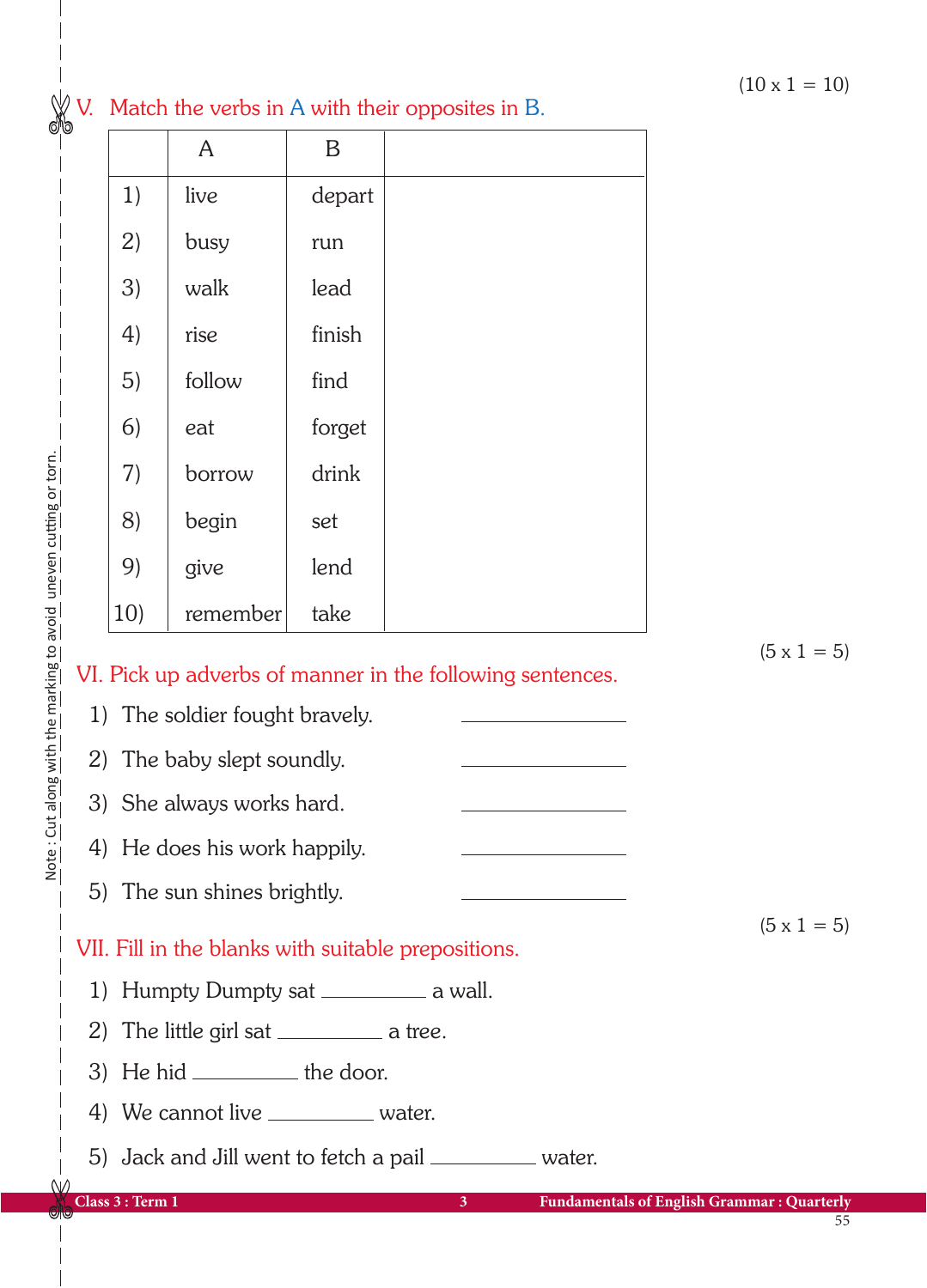## V. Match the verbs in A with their opposites in B.

|     | $\mathsf{A}$ | $\mathbf B$ |  |
|-----|--------------|-------------|--|
| 1)  | live         | depart      |  |
| 2)  | busy         | run         |  |
| 3)  | walk         | lead        |  |
| 4)  | rise         | finish      |  |
| 5)  | follow       | find        |  |
| 6)  | eat          | forget      |  |
| 7)  | borrow       | drink       |  |
| 8)  | begin        | set         |  |
| 9)  | give         | lend        |  |
| 10) | remember     | take        |  |

 $(5 \times 1 = 5)$ 

 $(5 \times 1 = 5)$ 

## VI. Pick up adverbs of manner in the following sentences.

- 1) The soldier fought bravely.
- 2) The baby slept soundly.
- 3) She always works hard.
- 4) He does his work happily.
- 5) The sun shines brightly.

## VII. Fill in the blanks with suitable prepositions.

- 1) Humpty Dumpty sat  $\frac{1}{1}$  a wall.
- 2) The little girl sat  $\_\_\_\_\_\_\$ a tree.
- 3) He hid  $\rule{1em}{0.15mm}$  the door.
- 4) We cannot live \_\_\_\_\_\_\_\_\_\_\_ water.
- 5) Jack and Jill went to fetch a pail water.